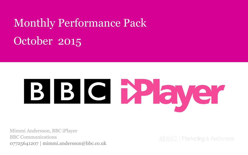# October 2015 Monthly Performance Pack

# BIG Mayer

Mimmi Andersson, BBC iPlayer BBC Communications 07725641207 | mimmi.andersson@bbc.co.uk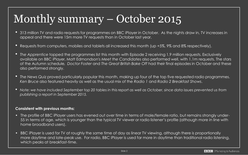# Monthly summary – October 2015

- 313 million TV and radio requests for programmes on BBC iPlayer in October. As the nights draw in, TV increases in appeal and there were 15m more TV requests than in October last year.
- Requests from computers, mobiles and tablets all increased this month (up +5%, 9% and 8% respectively).
- *The Apprentice* topped the programmes list this month with Episode 2 receiving 1.9 million requests. Exclusively available on BBC iPlayer, Matt Edmondson's *Meet the Candidates* also performed well, with 1.1m requests. The stars of the Autumn schedule*, Doctor Foster* and *The Great British Bake Off* had their final episodes in October and these also performed strongly.
- *The News Quiz* proved particularly popular this month, making up four of the top five requested radio programmes. *Ken Bruce* also featured heavily as well as the usual mix of the *Radio 1* and *Radio 2 Breakfast Shows*.
- *Note: we have included September top 20 tables in this report as well as October, since data issues prevented us from publishing a report in September 2015.*

#### **Consistent with previous months:**

- The profile of BBC iPlayer users has evened out over time in terms of male/female ratio, but remains strongly under-55 in terms of age, which is younger than the typical TV viewer or radio listener's profile (although more in line with home broadband users).
- BBC iPlayer is used for TV at roughly the same time of day as linear TV viewing, although there is proportionally more daytime and late-peak use. For radio, BBC iPlayer is used far more in daytime than traditional radio listening, which peaks at breakfast-time.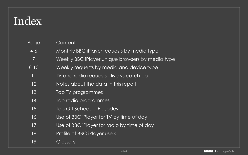# Index

| <u>Page</u> | Content                                          |
|-------------|--------------------------------------------------|
| $4 - 6$     | Monthly BBC iPlayer requests by media type       |
| 7           | Weekly BBC iPlayer unique browsers by media type |
| $8 - 10$    | Weekly requests by media and device type         |
| 11          | TV and radio requests - live vs catch-up         |
| 12          | Notes about the data in this report              |
| 13          | Top TV programmes                                |
| 14          | Top radio programmes                             |
| 15          | Top Off Schedule Episodes                        |
| 16          | Use of BBC iPlayer for TV by time of day         |
| 17          | Use of BBC iPlayer for radio by time of day      |
| 18          | Profile of BBC iPlayer users                     |
| 19          | Glossary                                         |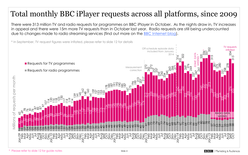# Total monthly BBC iPlayer requests across all platforms, since 2009

There were 313 million TV and radio requests for programmes on BBC iPlayer in October. As the nights draw in, TV increases in appeal and there were 15m more TV requests than in October last year. Radio requests are still being undercounted due to changes made to radio streaming services (find out more on the [BBC Internet blog\)](http://www.bbc.co.uk/blogs/internet/entries/977a1954-658f-4fb2-a23c-71680c49882f).



\* Please refer to slide 12 for guide notes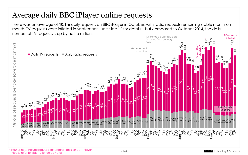# Average daily BBC iPlayer online requests

There was an average of **10.1m** daily requests on BBC iPlayer in October, with radio requests remaining stable month on month. TV requests were inflated in September – see slide 12 for details – but compared to October 2014, the daily number of TV requests is up by half a million. TV requests

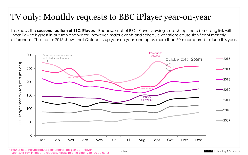# TV only: Monthly requests to BBC iPlayer year-on-year

This shows the **seasonal pattern of BBC iPlayer.** Because a lot of BBC iPlayer viewing is catch-up, there is a strong link with linear TV – so highest in autumn and winter; however, major events and schedule variations cause significant monthly differences. The line for 2015 shows that October is up year on year, and up by more than 50m compared to June this year.

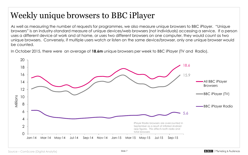# Weekly unique browsers to BBC iPlayer

As well as measuring the number of requests for programmes, we also measure unique browsers to BBC iPlayer. "Unique browsers" is an industry-standard measure of unique devices/web browsers (not individuals) accessing a service. If a person uses a different device at work and at home, or uses two different browsers on one computer, they would count as two unique browsers. Conversely, if multiple users watch or listen on the same device/browser, only one unique browser would be counted.

In October 2015, there were an average of **18.6m** unique browsers per week to BBC iPlayer (TV and Radio).

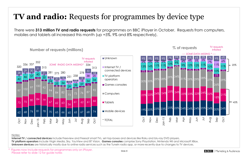# **TV and radio:** Requests for programmes by device type

There were **313 million TV and radio requests** for programmes on BBC iPlayer in October. Requests from computers, mobiles and tablets all increased this month (up +5%, 9% and 8% respectively).



#### Notes:

**Internet TV / connected devices** include Freeview and Freesat smart TVs, set-top-boxes and devices like Roku and blu-ray DVD players. **TV platform operators** include Virgin Media, Sky, YouView and BT Vision. **Games consoles** comprise Sony Playstation, Nintendo Wii and Microsoft XBox. **Unknown devices** are historically mostly due to online radio services such as the TuneIn radio app, or more recently due to changes to TV devices.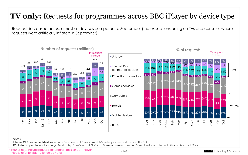### **TV only:** Requests for programmes across BBC iPlayer by device type

Requests increased across almost all devices compared to September (the exceptions being on TVs and consoles where requests were artificially inflated in September).



#### Notes:

**Internet TV / connected devices** include Freeview and Freesat smart TVs, set-top-boxes and devices like Roku.

**TV platform operators** include Virgin Media, Sky, YouView and BT Vision. **Games consoles** comprise Sony Playstation, Nintendo Wii and Microsoft XBox.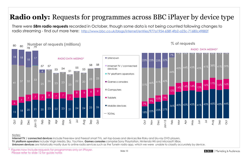### **Radio only:** Requests for programmes across BBC iPlayer by device type

There were **58m radio requests** recorded in October, though some data is not being counted following changes to radio streaming - find out more here: <http://www.bbc.co.uk/blogs/internet/entries/977a1954-658f-4fb2-a23c-71680c49882f>



#### Notes:

**Internet TV / connected devices** include Freeview and Freesat smart TVs, set-top-boxes and devices like Roku and blu-ray DVD players. **TV platform operators** include Virgin Media, Sky, YouView. **Games consoles** comprise Sony Playstation, Nintendo Wii and Microsoft XBox. **Unknown devices** are historically mostly due to online radio services such as the TuneIn radio app, which we were unable to classify accurately by device.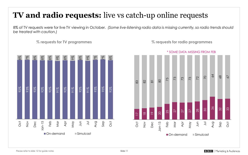# **TV and radio requests:** live vs catch-up online requests

8% of TV requests were for live TV viewing in October. *(Some live-listening radio data is missing currently, so radio trends should be treated with caution.)*



**<sup>%</sup> requests for TV programmes % requests for radio programmes**

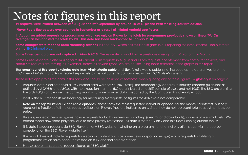# Notes for figures in this report

**TV requests were inflated between 25th August and 29th September by around 18-25%, please treat these figures with caution.**

**iPlayer Radio figures were over counted in September as a result of inflated Android app figures.**

**In August we added requests for programmes which are only on iPlayer to the totals for programmes previously shown on linear TV. On average this has boosted the totals by 2%. This data has been back-dated to January 2014.**

Some changes were made to radio streaming services in February, which has resulted in gaps in our reporting for some streams. Find out more

**Some TV request data was not captured in March 2015.** We estimate around 17m requests are missing from TV platforms in March.

**Some TV request data** is also missing for 2014 - about 3.5m requests in August and 11.5m requests in September from computer devices, and about 6m requests are missing in November, across all device types. We are not including these estimates in the graphs in this report.

The **remainder of this report excludes data** from **Virgin Media cable** and **Sky**. Virgin Media cable is not included as the data arrives later than BBC internal AV stats and Sky is treated separately as it is not currently consolidated within BBC iStats AV systems.

These notes apply to all the data in this pack and should be included as footnotes when quoting any of these figures. A **glossary** is on page 20.

- Requests data is collected via a BBC internal data warehouse (BBC iStats). The methodology adheres to industry standard guidelines as defined by JICWEBs and ABCe, with the exception that the BBC data is based on a 25% sample of users and not 100%. The BBC are working towards 100% sample over the coming months. Unique browser data is reported by the Comscore Digital Analytix tool.
- In 2009 the BBC refined its methodology for measuring AV requests, so figures for 2007/8 are not comparable.
- **Note on the top 20 lists for TV and radio episodes**: these show the most-requested individual episodes for the month, for interest, but only represent a fraction of all the episodes available on iPlayer. They are indicative only, since they do not represent total request numbers per series.
- Unless specified otherwise, figures include requests for both on-demand catch-up (streams and downloads), or views of live simulcasts. We cannot report download playback due to data privacy restrictions. All data is for the UK only and excludes listening outside the UK
- This data includes requests via BBC iPlayer on any BBC website whether on a programme, channel or station page, via the pop-out console, or on the BBC iPlayer website itself.
- This report does not include requests for web-only content (such as online news or sport coverage) only requests for full-length programmes which have been transmitted on a TV channel or radio station.
- Please quote the source of request figures as "BBC iStats".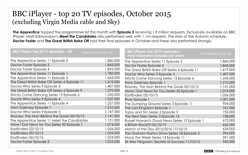### BBC iPlayer - top 20 TV episodes, October 2015 (excluding Virgin Media cable and Sky)

**The Apprentice** topped the programmes list this month with **Episode 2** receiving 1.9 million requests. Exclusively available on BBC iPlayer, Matt Edmondson's **Meet the Candidates** also performed well, with 1.1m requests. The stars of the Autumn schedule, **Doctor Foster** and **The Great British Bake Off** had their final episodes in October and these also performed strongly.

| <b>BBC iPlayer Top 20 TV episodes - All</b>    | Total requests per ep. | <b>BBC iPlayer Top 20 TV episodes -</b><br>most requested episode per series | Total requests per ep. |
|------------------------------------------------|------------------------|------------------------------------------------------------------------------|------------------------|
| The Apprentice Series 11 Episode 2             | 1,860,000              | The Apprentice Series 11 Episode 2                                           | 1,860,000              |
| Doctor Foster Episode 5                        | 1,843,000              | Doctor Foster Episode 5                                                      | 1,843,000              |
| Doctor Foster Episode 4                        | 1,825,000              | The Great British Bake Off Series 6 Episode 11                               | 1,619,000              |
| The Apprentice Series 11 Episode 1             | 1,782,000              | Doctor Who Series 9 Episode 3                                                | 1,407,000              |
| The Apprentice Series 11 Episode 3             | 1,663,000              | Strictly Come Dancing Series 13 Episode 6                                    | 1,245,000              |
| The Great British Bake Off Series 6 Episode 11 | 1,619,000              | From Darkness Episode 1                                                      | 1,210,000              |
| Doctor Who Series 9 Episode 3                  | 1,407,000              | Rooney: The Man Behind the Goals 05/10/15                                    | 1,141,000              |
| The Great British Bake Off Series 6 Episode 9  | 1,370,000              | Have I Got News for You Series 50 Episode 1                                  | 1,074,000              |
| Strictly Come Dancing Series 13 Episode 6      | 1,245,000              | EastEnders 02/10/15                                                          | 1,056,000              |
| Doctor Who Series 9 Episode 4                  | 1,237,000              | River Episode 1                                                              | 1,001,000              |
| The Apprentice Series 11 Episode 4             | 1,227,000              | The Dumping Ground Series 3 Episode 11                                       | 904,000                |
| From Darkness Episode 1                        | 1,210,000              | The Last Kingdom Episode 1                                                   | 767,000                |
| Doctor Who Series 9 Episode 5                  | 1,147,000              | Topsy and Tim Series 3 Episode 3                                             | 755,000                |
| Rooney: The Man Behind the Goals 05/10/15      | 1,141,000              | The Next Step Series 3 Episode 15                                            | 738,000                |
| The Apprentice Series 11 Meet the Candidates   | 1,121,000              | Russell Howard's Good News Series 10 Episode 1                               | 675,000                |
| Have I Got News for You Series 50 Episode 1    | 1,074,000              | Is Britain Racist? 05/10/15                                                  | 642,000                |
| EastEnders 02/10/15                            | 1,056,000              | Match of the Day 2015/2016 17/10/15                                          | 634,000                |
| EastEnders 09/10/15                            | 1,034,000              | The Graham Norton Show Series 18 Episode 5                                   | 596,000                |
| EastEnders 06/10/15                            | 1,024,000              | Mock the Week Series 14 Episode 11                                           | 591,000                |
| Doctor Foster Episode 3                        | 1,023,000              | Sir Alex Ferguson: Secrets of Success 11/10/15                               | 545,000                |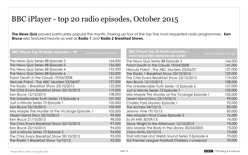### BBC iPlayer - top 20 radio episodes, October 2015

**The News Quiz** proved particularly popular this month, making up four of the top five most requested radio programmes. **Ken Bruce** also featured heavily as well as **Radio 1** and **Radio 2 Breakfast Shows.**

| <b>BBC iPlayer Top 20 Radio episodes - All</b>   | Total requests per ep. | <b>BBC iPlayer Top 20 Radio episodes -</b><br>most requested episode per series | Total requests per ep. |
|--------------------------------------------------|------------------------|---------------------------------------------------------------------------------|------------------------|
| The News Quiz Series 88 Episode 3                | 164,000                | The News Quiz Series 88 Episode 3                                               | 164,000                |
| The News Quiz Series 88 Episode 5                | 156,000                | Poirot Death in the Clouds 19/04/2008                                           | 141,000                |
| The News Quiz Series 88 Episode 4                | 152,000                | Hercule Poirot - The ABC Murders 23/06/07                                       | 127,000                |
| The News Quiz Series 88 Episode 6                | 152,000                | The Radio 1 Breakfast Show 23/10/2015                                           | 122,000                |
| Poirot Death in the Clouds 19/04/2008            | 141,000                | The Chris Evans Breakfast Show 23/10/2015                                       | 119,000                |
| Hercule Poirot - The ABC Murders 23/06/07        | 127,000                | Ken Bruce 12/10/2015                                                            | 108,000                |
| The Radio 1 Breakfast Show 23/10/2015            | 122,000                | The Unbelievable Truth Series 15 Episode 6                                      | 107,000                |
| The Chris Evans Breakfast Show 23/10/2015        | 119,000                | Just a Minute Series 73 Episode 1                                               | 105,000                |
| Ken Bruce 12/10/2015                             | 108,000                | Miss Marple The Murder at the Vicarage Episode 1                                | 105,000                |
| The Unbelievable Truth Series 15 Episode 6       | 107,000                | Desert Island Discs 25/10/2015                                                  | 99,000                 |
| Just a Minute Series 73 Episode 1                | 105,000                | Charles Paris Mystery Episode                                                   | 92,000                 |
| Ken Bruce 23/10/2015                             | 105,000                | The Archers 04/10/15                                                            | 85,000                 |
| Miss Marple The Murder at the Vicarage Episode 1 | 105,000                | Jeremy Vine 19/10/15                                                            | 83,000                 |
| Desert Island Discs 25/10/2015                   | 99,000                 | Miss Marple's Final Cases Episode 2                                             | 76,000                 |
| Ken Bruce 21/10/2015                             | 98,000                 | Scott Mills 30/09/15                                                            | 74,000                 |
| The Chris Evans Breakfast Show 22/10/2015        | 97,000                 | Steve Wright in the Afternoon 12/10/2015                                        | 74,000                 |
| Ken Bruce 22/10/2015                             | 94,000                 | Miss Marple The Body in the Library 30/04/2005                                  | 73,000                 |
| Just a Minute Series 73 Episode 2                | 94,000                 | Clara Amfo 23/10/15                                                             | 73,000                 |
| The Chris Evans Breakfast Show 09/10/2015        | 93,000                 | That Mitchell and Webb Sound Series 5 Episode 4                                 | 70,000                 |
| The Radio 1 Breakfast Show 16/10/15              | 93,000                 | 5LS Premier League Football Chelsea v Liverpool                                 | 70,000                 |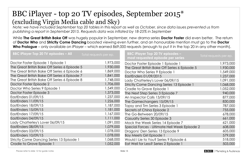### BBC iPlayer - top 20 TV episodes, September 2015\* (excluding Virgin Media cable and Sky)

*Note: we have included September top 20 tables in this report as well as October, since data issues prevented us from publishing a report in September 2015. Requests data was inflated by 18-25% in September*

While **The Great British Bake Off** was hugely popular in September, new drama series **Doctor Foster** did even better. The return of **Doctor Who** and **Strictly Come Dancing** boosted viewing even further, and an honourable mention must go to the **Doctor Who Prologue** – only available on iPlayer – which earned 869,000 requests (enough to put it in the top 20 in any other month).

| <b>BBC iPlayer Top 20 TV episodes - All</b>   | Total requests per ep. | <b>BBC iPlayer Top 20 TV episodes -</b><br>most requested episode per series | Total requests per ep. |
|-----------------------------------------------|------------------------|------------------------------------------------------------------------------|------------------------|
| Doctor Foster Episode 1 Episode 1             | 1,973,000              | Doctor Foster Episode 1 Episode 1                                            | 1,973,000              |
| The Great British Bake Off Series 6 Episode 5 | 1,930,000              | The Great British Bake Off Series 6 Episode 5                                | 1,930,000              |
| The Great British Bake Off Series 6 Episode 6 | 1,869,000              | Doctor Who Series 9 Episode 1                                                | 1,549,000              |
| The Great British Bake Off Series 6 Episode 7 | 1,841,000              | EastEnders 01/09/2015                                                        | 1,237,000              |
| The Great British Bake Off Series 6 Episode 8 | 1,748,000              | Lady Chatterley's Lover 06/09/15                                             | 1,091,000              |
| Doctor Foster Episode 2                       | 1,706,000              | Strictly Come Dancing Series 13 Episode 1                                    | 1,068,000              |
| Doctor Who Series 9 Episode 1                 | 1,549,000              | Cradle to Grave Episode 1                                                    | 1,052,000              |
| Doctor Foster Episode 3                       | 1,373,000              | The Next Step Series 3 Episode 7                                             | 940,000                |
| EastEnders 01/09/15                           | 1,237,000              | An Inspector Calls 13/09/15                                                  | 877,000                |
| EastEnders 11/09/15                           | 1,226,000              | The Gamechangers 15/09/15                                                    | 830,000                |
| EastEnders 18/09/15                           | 1,187,000              | Topsy and Tim Series 3 Episode 1                                             | 787,000                |
| EastEnders 15/09/15                           | 1,181,000              | Secrets of China Episode 2                                                   | 755,000                |
| EastEnders 17/09/15                           | 1,167,000              | The Go-Between 20/09/15                                                      | 678,000                |
| EastEnders 04/09/15                           | 1,111,000              | Casualty Series 30 Episode 3                                                 | 661,000                |
| Lady Chatterley's Lover 06/09/15              | 1,091,000              | Mock the Week Series 14 Episode 7                                            | 621,000                |
| EastEnders 08/09/15                           | 1,079,000              | Special Forces - Ultimate Hell Week Episode 2                                | 608,000                |
| EastEnders 03/09/15                           | 1,078,000              | Dragons' Den Series 13 Episode 9                                             | 605,000                |
| EastEnders 10/09/15                           | 1,078,000              | <b>Boy Meets Girl Episode 1</b>                                              | 579,000                |
| Strictly Come Dancing Series 13 Episode 1     | 1,068,000              | Would I Lie to You? Series 9 Episode 6                                       | 518,000                |
| Cradle to Grave Episode 1                     | 1,052,000              | Eat Well for Less? Series 2 Episode 1                                        | 503,000                |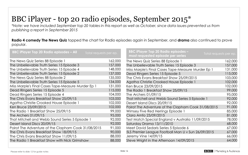# BBC iPlayer - top 20 radio episodes, September 2015\*

*\*Note: we have included September top 20 tables in this report as well as October, since data issues prevented us from publishing a report in September 2015*

**Radio 4 comedy The News Quiz** topped the chart for Radio episodes again in September, and **drama** also continued to prove popular.

| <b>BBC iPlayer Top 20 Radio episodes - All</b>      | Total requests per ep. | <b>BBC iPlayer Top 20 Radio episodes -</b><br>most requested episode per series | Total requests per ep. |
|-----------------------------------------------------|------------------------|---------------------------------------------------------------------------------|------------------------|
| The News Quiz Series 88 Episode 1                   | 162,000                | The News Quiz Series 88 Episode 1                                               | 162,000                |
| The Unbelievable Truth Series 15 Episode 3          | 157,000                | The Unbelievable Truth Series 15 Episode 3                                      | 157,000                |
| The Unbelievable Truth Series 15 Episode 4          | 148,000                | Miss Marple's Final Cases Tape-Measure Murder Ep 1                              | 131,000                |
| The Unbelievable Truth Series 15 Episode 2          | 137,000                | Dead Ringers Series 15 Episode 5                                                | 115,000                |
| The News Quiz Series 88 Episode 2                   | 135,000                | The Chris Evans Breakfast Show 25/09/2015                                       | 103,000                |
| The Unbelievable Truth Series 15 Episode 5          | 134,000                | Agatha Christie Crooked House Episode 1                                         | 102,000                |
| Miss Marple's Final Cases Tape-Measure Murder Ep 1  | 131,000                | Ken Bruce 23/09/2015                                                            | 102,000                |
| Dead Ringers Series 15 Episode 5                    | 115,000                | The Radio 1 Breakfast Show 25/09/15                                             | 99,000                 |
| Dead Ringers Series 15 Episode 4                    | 104,000                | The Archers 01/09/15                                                            | 95,000                 |
| The Chris Evans Breakfast Show 25/09/15             | 103,000                | That Mitchell and Webb Sound Series 5 Episode 1                                 | 92,000                 |
| Agatha Christie Crooked House Episode 1             | 102,000                | Desert Island Discs 20/09/15                                                    | 92,000                 |
| Ken Bruce 23/09/2015                                | 102,000                | Poirot The Adventure of the Clapham Cook 31/08/2015                             | 91,000                 |
| The Radio 1 Breakfast Show 25/09/15                 | 99,000                 | Wimsey Five Red Herrings Episode 1                                              | 85,000                 |
| The Archers 01/09/15                                | 95,000                 | Clara Amfo 23/09/2015                                                           | 81,000                 |
| That Mitchell and Webb Sound Series 5 Episode 1     | 92,000                 | Test Match Special England v Australia 11/09/2015                               | 78,000                 |
| Desert Island Discs 20/09/15                        | 92,000                 | Saturday Drama 13/11/2010                                                       | 68,000                 |
| Poirot The Adventure of the Clapham Cook 31/08/2015 | 91,000                 | Meet David Sedaris Series 5 Episode 6                                           | 67,000                 |
| The Chris Evans Breakfast Show 18/09/15             | 90,000                 | 5LS Premier League Football Man U v Sun 26/09/2015                              | 67,000                 |
| The Chris Evans Breakfast Show 11/09/15             | 88,000                 | Jeremy Vine 14/09/15                                                            | 66,000                 |
| The Radio 1 Breakfast Show with Nick Grimshaw       | 88,000                 | Steve Wright in the Afternoon 14/09/2015                                        | 64,000                 |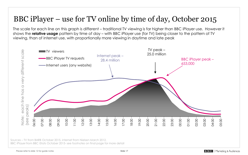# BBC iPlayer – use for TV online by time of day, October 2015

The scale for each line on this graph is different – traditional TV viewing is far higher than BBC iPlayer use. However it shows the **relative usage** pattern by time of day – with BBC iPlayer use (for TV) being closer to the pattern of TV viewing, than of internet use, with proportionally more viewing in daytime and late peak



Sources – TV from BARB October 2015, internet from Nielsen March 2012, BBC iPlayer from BBC iStats October 2015- see footnotes on final page for more detail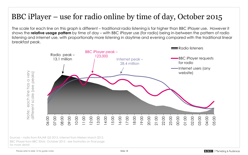# BBC iPlayer – use for radio online by time of day, October 2015

The scale for each line on this graph is different – traditional radio listening is far higher than BBC iPlayer use. However it shows the **relative usage pattern** by time of day – with BBC iPlayer use (for radio) being in-between the pattern of radio listening and internet use, with proportionally more listening in daytime and evening compared with the traditional linear breakfast peak.



Sources – radio from RAJAR Q3 2015, internet from Nielsen March 2012, BBC iPlayer from BBC iStats October 2015 - see footnotes on final page for more detail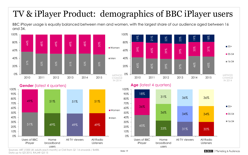# TV & iPlayer Product: demographics of BBC iPlayer users

BBC iPlayer usage is equally balanced between men and women, with the largest share of our audience aged between 16 and 34.



Sources: ART (1000 UK adults each month) or CMI from Q1 14 onwards / BARB. Data up to Q3 2015, RAJAR Q3 15